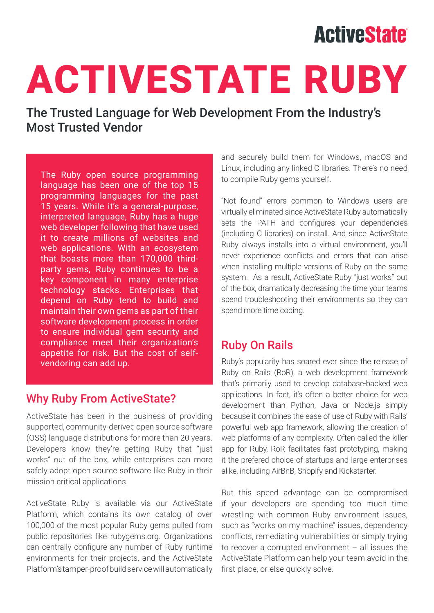## **ActiveState**

# ACTIVESTATE RUBY

The Trusted Language for Web Development From the Industry's Most Trusted Vendor

The Ruby open source programming language has been one of the top 15 programming languages for the past 15 years. While it's a general-purpose, interpreted language, Ruby has a huge web developer following that have used it to create millions of websites and web applications. With an ecosystem that boasts more than 170,000 thirdparty gems, Ruby continues to be a key component in many enterprise technology stacks. Enterprises that depend on Ruby tend to build and maintain their own gems as part of their software development process in order to ensure individual gem security and compliance meet their organization's appetite for risk. But the cost of selfvendoring can add up.

#### Why Ruby From ActiveState?

ActiveState has been in the business of providing supported, community-derived open source software (OSS) language distributions for more than 20 years. Developers know they're getting Ruby that "just works" out of the box, while enterprises can more safely adopt open source software like Ruby in their mission critical applications.

ActiveState Ruby is available via our ActiveState Platform, which contains its own catalog of over 100,000 of the most popular Ruby gems pulled from public repositories like rubygems.org. Organizations can centrally configure any number of Ruby runtime environments for their projects, and the ActiveState Platform's tamper-proof build service will automatically and securely build them for Windows, macOS and Linux, including any linked C libraries. There's no need to compile Ruby gems yourself.

"Not found" errors common to Windows users are virtually eliminated since ActiveState Ruby automatically sets the PATH and configures your dependencies (including C libraries) on install. And since ActiveState Ruby always installs into a virtual environment, you'll never experience conflicts and errors that can arise when installing multiple versions of Ruby on the same system. As a result, ActiveState Ruby "just works" out of the box, dramatically decreasing the time your teams spend troubleshooting their environments so they can spend more time coding.

#### Ruby On Rails

Ruby's popularity has soared ever since the release of Ruby on Rails (RoR), a web development framework that's primarily used to develop database-backed web applications. In fact, it's often a better choice for web development than Python, Java or Node.js simply because it combines the ease of use of Ruby with Rails' powerful web app framework, allowing the creation of web platforms of any complexity. Often called the killer app for Ruby, RoR facilitates fast prototyping, making it the prefered choice of startups and large enterprises alike, including AirBnB, Shopify and Kickstarter.

But this speed advantage can be compromised if your developers are spending too much time wrestling with common Ruby environment issues, such as "works on my machine" issues, dependency conflicts, remediating vulnerabilities or simply trying to recover a corrupted environment – all issues the ActiveState Platform can help your team avoid in the first place, or else quickly solve.